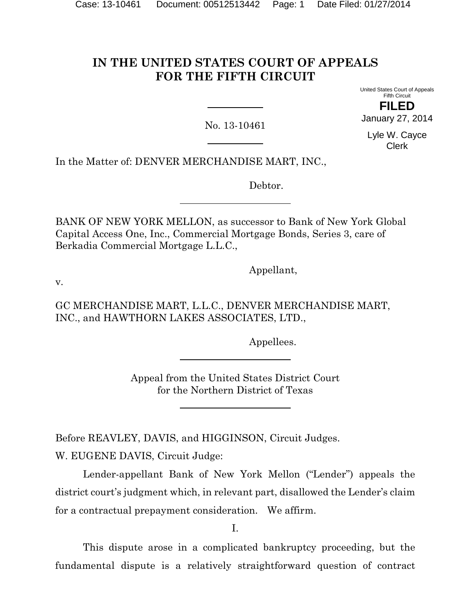# **IN THE UNITED STATES COURT OF APPEALS FOR THE FIFTH CIRCUIT**

No. 13-10461

United States Court of Appeals Fifth Circuit **FILED** January 27, 2014

Lyle W. Cayce Clerk

In the Matter of: DENVER MERCHANDISE MART, INC.,

Debtor.

BANK OF NEW YORK MELLON, as successor to Bank of New York Global Capital Access One, Inc., Commercial Mortgage Bonds, Series 3, care of Berkadia Commercial Mortgage L.L.C.,

Appellant,

v.

GC MERCHANDISE MART, L.L.C., DENVER MERCHANDISE MART, INC., and HAWTHORN LAKES ASSOCIATES, LTD.,

Appellees.

Appeal from the United States District Court for the Northern District of Texas

Before REAVLEY, DAVIS, and HIGGINSON, Circuit Judges. W. EUGENE DAVIS, Circuit Judge:

Lender-appellant Bank of New York Mellon ("Lender") appeals the district court's judgment which, in relevant part, disallowed the Lender's claim for a contractual prepayment consideration. We affirm.

I.

This dispute arose in a complicated bankruptcy proceeding, but the fundamental dispute is a relatively straightforward question of contract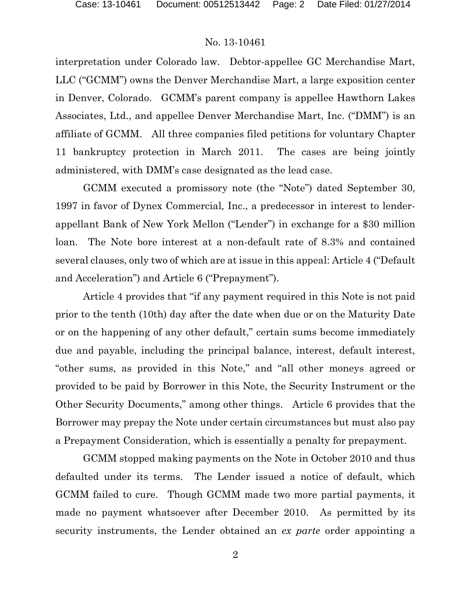interpretation under Colorado law. Debtor-appellee GC Merchandise Mart, LLC ("GCMM") owns the Denver Merchandise Mart, a large exposition center in Denver, Colorado. GCMM's parent company is appellee Hawthorn Lakes Associates, Ltd., and appellee Denver Merchandise Mart, Inc. ("DMM") is an affiliate of GCMM. All three companies filed petitions for voluntary Chapter 11 bankruptcy protection in March 2011. The cases are being jointly administered, with DMM's case designated as the lead case.

GCMM executed a promissory note (the "Note") dated September 30, 1997 in favor of Dynex Commercial, Inc., a predecessor in interest to lenderappellant Bank of New York Mellon ("Lender") in exchange for a \$30 million loan. The Note bore interest at a non-default rate of 8.3% and contained several clauses, only two of which are at issue in this appeal: Article 4 ("Default and Acceleration") and Article 6 ("Prepayment").

Article 4 provides that "if any payment required in this Note is not paid prior to the tenth (10th) day after the date when due or on the Maturity Date or on the happening of any other default," certain sums become immediately due and payable, including the principal balance, interest, default interest, "other sums, as provided in this Note," and "all other moneys agreed or provided to be paid by Borrower in this Note, the Security Instrument or the Other Security Documents," among other things. Article 6 provides that the Borrower may prepay the Note under certain circumstances but must also pay a Prepayment Consideration, which is essentially a penalty for prepayment.

GCMM stopped making payments on the Note in October 2010 and thus defaulted under its terms. The Lender issued a notice of default, which GCMM failed to cure. Though GCMM made two more partial payments, it made no payment whatsoever after December 2010. As permitted by its security instruments, the Lender obtained an *ex parte* order appointing a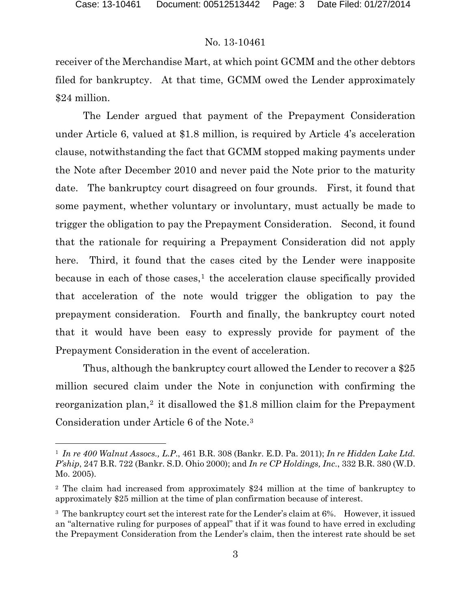$\overline{a}$ 

### No. 13-10461

receiver of the Merchandise Mart, at which point GCMM and the other debtors filed for bankruptcy. At that time, GCMM owed the Lender approximately \$24 million.

The Lender argued that payment of the Prepayment Consideration under Article 6, valued at \$1.8 million, is required by Article 4's acceleration clause, notwithstanding the fact that GCMM stopped making payments under the Note after December 2010 and never paid the Note prior to the maturity date. The bankruptcy court disagreed on four grounds. First, it found that some payment, whether voluntary or involuntary, must actually be made to trigger the obligation to pay the Prepayment Consideration. Second, it found that the rationale for requiring a Prepayment Consideration did not apply here. Third, it found that the cases cited by the Lender were inapposite because in each of those cases, $<sup>1</sup>$  $<sup>1</sup>$  $<sup>1</sup>$  the acceleration clause specifically provided</sup> that acceleration of the note would trigger the obligation to pay the prepayment consideration. Fourth and finally, the bankruptcy court noted that it would have been easy to expressly provide for payment of the Prepayment Consideration in the event of acceleration.

Thus, although the bankruptcy court allowed the Lender to recover a \$25 million secured claim under the Note in conjunction with confirming the reorganization plan,<sup>[2](#page-2-1)</sup> it disallowed the \$1.8 million claim for the Prepayment Consideration under Article 6 of the Note.[3](#page-2-2)

<span id="page-2-0"></span><sup>1</sup> *In re 400 Walnut Assocs., L.P*., 461 B.R. 308 (Bankr. E.D. Pa. 2011); *In re Hidden Lake Ltd. P'ship*, 247 B.R. 722 (Bankr. S.D. Ohio 2000); and *In re CP Holdings, Inc*., 332 B.R. 380 (W.D. Mo. 2005).

<span id="page-2-1"></span><sup>2</sup> The claim had increased from approximately \$24 million at the time of bankruptcy to approximately \$25 million at the time of plan confirmation because of interest.

<span id="page-2-2"></span><sup>&</sup>lt;sup>3</sup> The bankruptcy court set the interest rate for the Lender's claim at 6%. However, it issued an "alternative ruling for purposes of appeal" that if it was found to have erred in excluding the Prepayment Consideration from the Lender's claim, then the interest rate should be set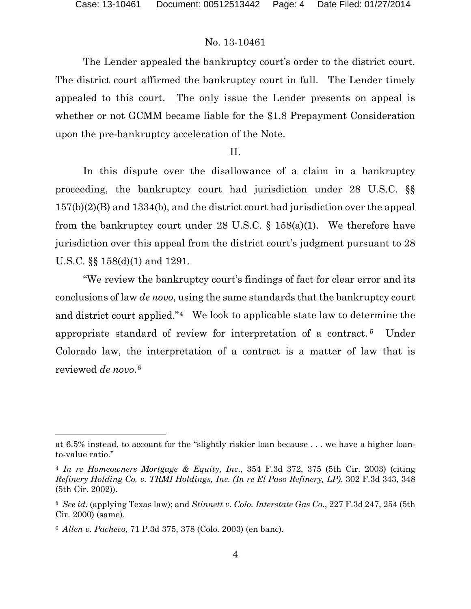The Lender appealed the bankruptcy court's order to the district court. The district court affirmed the bankruptcy court in full. The Lender timely appealed to this court. The only issue the Lender presents on appeal is whether or not GCMM became liable for the \$1.8 Prepayment Consideration upon the pre-bankruptcy acceleration of the Note.

#### II.

In this dispute over the disallowance of a claim in a bankruptcy proceeding, the bankruptcy court had jurisdiction under 28 U.S.C. §§ 157(b)(2)(B) and 1334(b), and the district court had jurisdiction over the appeal from the bankruptcy court under 28 U.S.C.  $\S$  158(a)(1). We therefore have jurisdiction over this appeal from the district court's judgment pursuant to 28 U.S.C. §§ 158(d)(1) and 1291.

"We review the bankruptcy court's findings of fact for clear error and its conclusions of law *de novo*, using the same standards that the bankruptcy court and district court applied."[4](#page-3-0) We look to applicable state law to determine the appropriate standard of review for interpretation of a contract. [5](#page-3-1) Under Colorado law, the interpretation of a contract is a matter of law that is reviewed *de novo*.[6](#page-3-2)

 $\overline{a}$ 

at 6.5% instead, to account for the "slightly riskier loan because . . . we have a higher loanto-value ratio."

<span id="page-3-0"></span><sup>4</sup> *In re Homeowners Mortgage & Equity, Inc*., 354 F.3d 372, 375 (5th Cir. 2003) (citing *Refinery Holding Co. v. TRMI Holdings, Inc. (In re El Paso Refinery, LP)*, 302 F.3d 343, 348 (5th Cir. 2002)).

<span id="page-3-1"></span><sup>5</sup> *See id*. (applying Texas law); and *Stinnett v. Colo. Interstate Gas Co*., 227 F.3d 247, 254 (5th Cir. 2000) (same).

<span id="page-3-2"></span><sup>6</sup> *Allen v. Pacheco*, 71 P.3d 375, 378 (Colo. 2003) (en banc).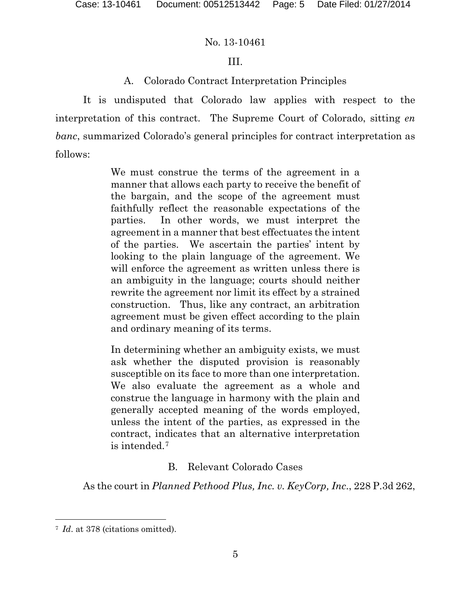# III.

# A. Colorado Contract Interpretation Principles

It is undisputed that Colorado law applies with respect to the interpretation of this contract. The Supreme Court of Colorado, sitting *en banc*, summarized Colorado's general principles for contract interpretation as follows:

> We must construe the terms of the agreement in a manner that allows each party to receive the benefit of the bargain, and the scope of the agreement must faithfully reflect the reasonable expectations of the parties. In other words, we must interpret the agreement in a manner that best effectuates the intent of the parties. We ascertain the parties' intent by looking to the plain language of the agreement. We will enforce the agreement as written unless there is an ambiguity in the language; courts should neither rewrite the agreement nor limit its effect by a strained construction. Thus, like any contract, an arbitration agreement must be given effect according to the plain and ordinary meaning of its terms.

> In determining whether an ambiguity exists, we must ask whether the disputed provision is reasonably susceptible on its face to more than one interpretation. We also evaluate the agreement as a whole and construe the language in harmony with the plain and generally accepted meaning of the words employed, unless the intent of the parties, as expressed in the contract, indicates that an alternative interpretation is intended.[7](#page-4-0)

# B. Relevant Colorado Cases

As the court in *Planned Pethood Plus, Inc. v. KeyCorp, Inc*., 228 P.3d 262,

<span id="page-4-0"></span><sup>7</sup> *Id*. at 378 (citations omitted).  $\overline{a}$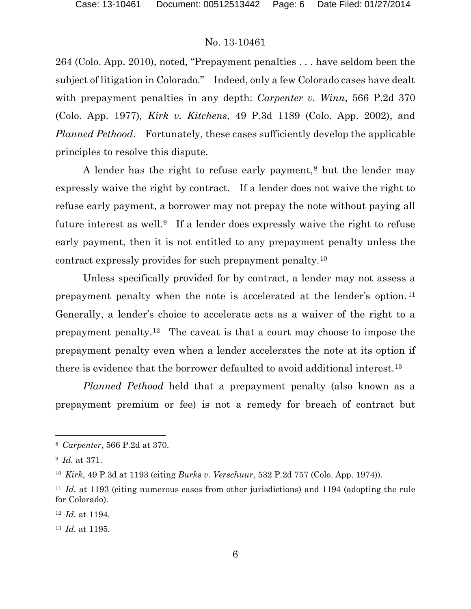264 (Colo. App. 2010), noted, "Prepayment penalties . . . have seldom been the subject of litigation in Colorado." Indeed, only a few Colorado cases have dealt with prepayment penalties in any depth: *Carpenter v. Winn*, 566 P.2d 370 (Colo. App. 1977)*, Kirk v. Kitchens*, 49 P.3d 1189 (Colo. App. 2002), and *Planned Pethood*. Fortunately, these cases sufficiently develop the applicable principles to resolve this dispute.

A lender has the right to refuse early payment,<sup>[8](#page-5-0)</sup> but the lender may expressly waive the right by contract. If a lender does not waive the right to refuse early payment, a borrower may not prepay the note without paying all future interest as well.<sup>9</sup> If a lender does expressly waive the right to refuse early payment, then it is not entitled to any prepayment penalty unless the contract expressly provides for such prepayment penalty.[10](#page-5-2)

Unless specifically provided for by contract, a lender may not assess a prepayment penalty when the note is accelerated at the lender's option. [11](#page-5-3) Generally, a lender's choice to accelerate acts as a waiver of the right to a prepayment penalty[.12](#page-5-4) The caveat is that a court may choose to impose the prepayment penalty even when a lender accelerates the note at its option if there is evidence that the borrower defaulted to avoid additional interest.[13](#page-5-5)

*Planned Pethood* held that a prepayment penalty (also known as a prepayment premium or fee) is not a remedy for breach of contract but

l

<span id="page-5-0"></span><sup>8</sup> *Carpenter*, 566 P.2d at 370.

<span id="page-5-1"></span><sup>9</sup> *Id.* at 371.

<span id="page-5-2"></span><sup>10</sup> *Kirk*, 49 P.3d at 1193 (citing *Burks v. Verschuur*, 532 P.2d 757 (Colo. App. 1974)).

<span id="page-5-3"></span><sup>&</sup>lt;sup>11</sup> *Id.* at 1193 (citing numerous cases from other jurisdictions) and 1194 (adopting the rule for Colorado).

<span id="page-5-4"></span><sup>12</sup> *Id.* at 1194.

<span id="page-5-5"></span><sup>13</sup> *Id.* at 1195.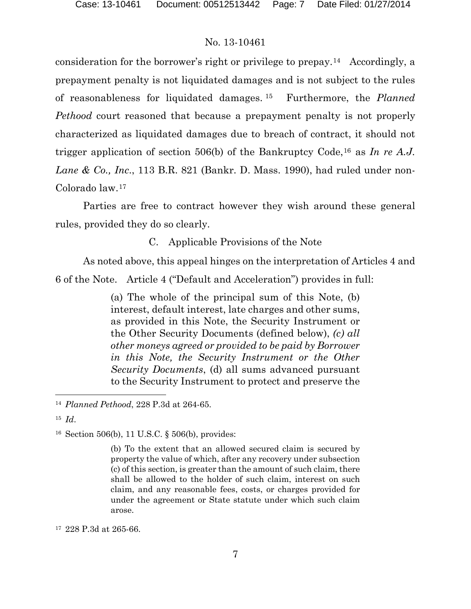consideration for the borrower's right or privilege to prepay.[14](#page-6-0) Accordingly, a prepayment penalty is not liquidated damages and is not subject to the rules of reasonableness for liquidated damages. [15](#page-6-1) Furthermore, the *Planned Pethood* court reasoned that because a prepayment penalty is not properly characterized as liquidated damages due to breach of contract, it should not trigger application of section 506(b) of the Bankruptcy Code,[16](#page-6-2) as *In re A.J. Lane & Co., Inc*., 113 B.R. 821 (Bankr. D. Mass. 1990), had ruled under non-Colorado law.[17](#page-6-3)

Parties are free to contract however they wish around these general rules, provided they do so clearly.

C. Applicable Provisions of the Note

As noted above, this appeal hinges on the interpretation of Articles 4 and 6 of the Note. Article 4 ("Default and Acceleration") provides in full:

> (a) The whole of the principal sum of this Note, (b) interest, default interest, late charges and other sums, as provided in this Note, the Security Instrument or the Other Security Documents (defined below), *(c) all other moneys agreed or provided to be paid by Borrower in this Note, the Security Instrument or the Other Security Documents*, (d) all sums advanced pursuant to the Security Instrument to protect and preserve the

l

<span id="page-6-0"></span><sup>14</sup> *Planned Pethood*, 228 P.3d at 264-65.

<span id="page-6-1"></span><sup>15</sup> *Id*.

<span id="page-6-2"></span><sup>16</sup> Section 506(b), 11 U.S.C. § 506(b), provides:

<sup>(</sup>b) To the extent that an allowed secured claim is secured by property the value of which, after any recovery under subsection (c) of this section, is greater than the amount of such claim, there shall be allowed to the holder of such claim, interest on such claim, and any reasonable fees, costs, or charges provided for under the agreement or State statute under which such claim arose.

<span id="page-6-3"></span><sup>17</sup> 228 P.3d at 265-66.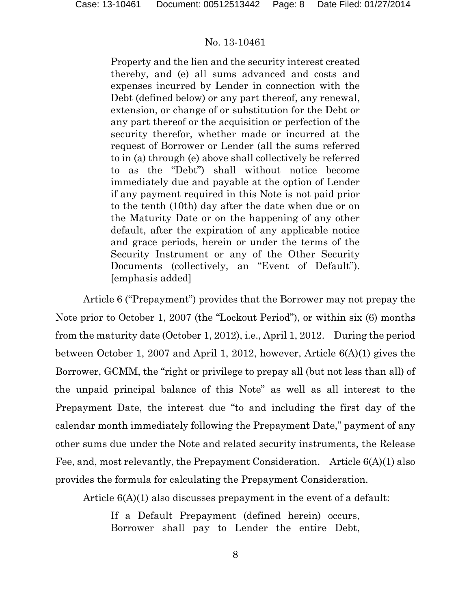Property and the lien and the security interest created thereby, and (e) all sums advanced and costs and expenses incurred by Lender in connection with the Debt (defined below) or any part thereof, any renewal, extension, or change of or substitution for the Debt or any part thereof or the acquisition or perfection of the security therefor, whether made or incurred at the request of Borrower or Lender (all the sums referred to in (a) through (e) above shall collectively be referred to as the "Debt") shall without notice become immediately due and payable at the option of Lender if any payment required in this Note is not paid prior to the tenth (10th) day after the date when due or on the Maturity Date or on the happening of any other default, after the expiration of any applicable notice and grace periods, herein or under the terms of the Security Instrument or any of the Other Security Documents (collectively, an "Event of Default"). [emphasis added]

Article 6 ("Prepayment") provides that the Borrower may not prepay the Note prior to October 1, 2007 (the "Lockout Period"), or within six (6) months from the maturity date (October 1, 2012), i.e., April 1, 2012. During the period between October 1, 2007 and April 1, 2012, however, Article 6(A)(1) gives the Borrower, GCMM, the "right or privilege to prepay all (but not less than all) of the unpaid principal balance of this Note" as well as all interest to the Prepayment Date, the interest due "to and including the first day of the calendar month immediately following the Prepayment Date," payment of any other sums due under the Note and related security instruments, the Release Fee, and, most relevantly, the Prepayment Consideration. Article 6(A)(1) also provides the formula for calculating the Prepayment Consideration.

Article 6(A)(1) also discusses prepayment in the event of a default:

If a Default Prepayment (defined herein) occurs, Borrower shall pay to Lender the entire Debt,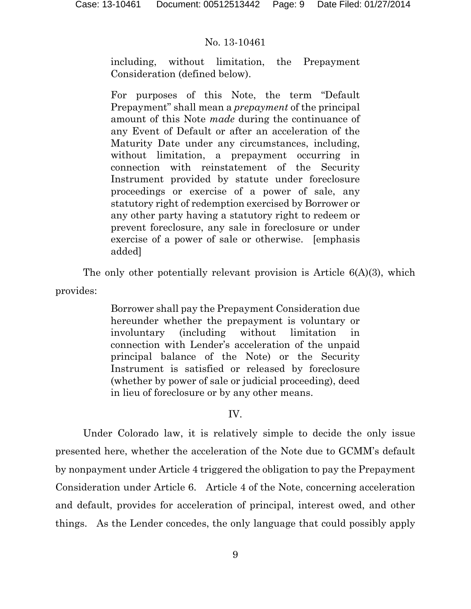including, without limitation, the Prepayment Consideration (defined below).

For purposes of this Note, the term "Default Prepayment" shall mean a *prepayment* of the principal amount of this Note *made* during the continuance of any Event of Default or after an acceleration of the Maturity Date under any circumstances, including, without limitation, a prepayment occurring in connection with reinstatement of the Security Instrument provided by statute under foreclosure proceedings or exercise of a power of sale, any statutory right of redemption exercised by Borrower or any other party having a statutory right to redeem or prevent foreclosure, any sale in foreclosure or under exercise of a power of sale or otherwise. [emphasis added]

The only other potentially relevant provision is Article 6(A)(3), which provides:

> Borrower shall pay the Prepayment Consideration due hereunder whether the prepayment is voluntary or involuntary (including without limitation in connection with Lender's acceleration of the unpaid principal balance of the Note) or the Security Instrument is satisfied or released by foreclosure (whether by power of sale or judicial proceeding), deed in lieu of foreclosure or by any other means.

### IV.

Under Colorado law, it is relatively simple to decide the only issue presented here, whether the acceleration of the Note due to GCMM's default by nonpayment under Article 4 triggered the obligation to pay the Prepayment Consideration under Article 6. Article 4 of the Note, concerning acceleration and default, provides for acceleration of principal, interest owed, and other things. As the Lender concedes, the only language that could possibly apply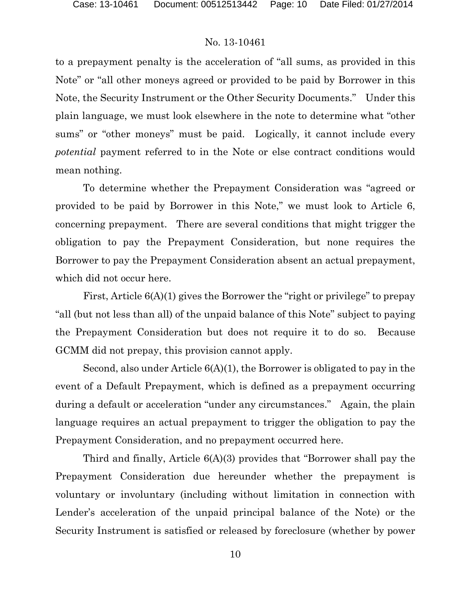to a prepayment penalty is the acceleration of "all sums, as provided in this Note" or "all other moneys agreed or provided to be paid by Borrower in this Note, the Security Instrument or the Other Security Documents." Under this plain language, we must look elsewhere in the note to determine what "other sums" or "other moneys" must be paid. Logically, it cannot include every *potential* payment referred to in the Note or else contract conditions would mean nothing.

To determine whether the Prepayment Consideration was "agreed or provided to be paid by Borrower in this Note," we must look to Article 6, concerning prepayment. There are several conditions that might trigger the obligation to pay the Prepayment Consideration, but none requires the Borrower to pay the Prepayment Consideration absent an actual prepayment, which did not occur here.

First, Article 6(A)(1) gives the Borrower the "right or privilege" to prepay "all (but not less than all) of the unpaid balance of this Note" subject to paying the Prepayment Consideration but does not require it to do so. Because GCMM did not prepay, this provision cannot apply.

Second, also under Article 6(A)(1), the Borrower is obligated to pay in the event of a Default Prepayment, which is defined as a prepayment occurring during a default or acceleration "under any circumstances." Again, the plain language requires an actual prepayment to trigger the obligation to pay the Prepayment Consideration, and no prepayment occurred here.

Third and finally, Article 6(A)(3) provides that "Borrower shall pay the Prepayment Consideration due hereunder whether the prepayment is voluntary or involuntary (including without limitation in connection with Lender's acceleration of the unpaid principal balance of the Note) or the Security Instrument is satisfied or released by foreclosure (whether by power